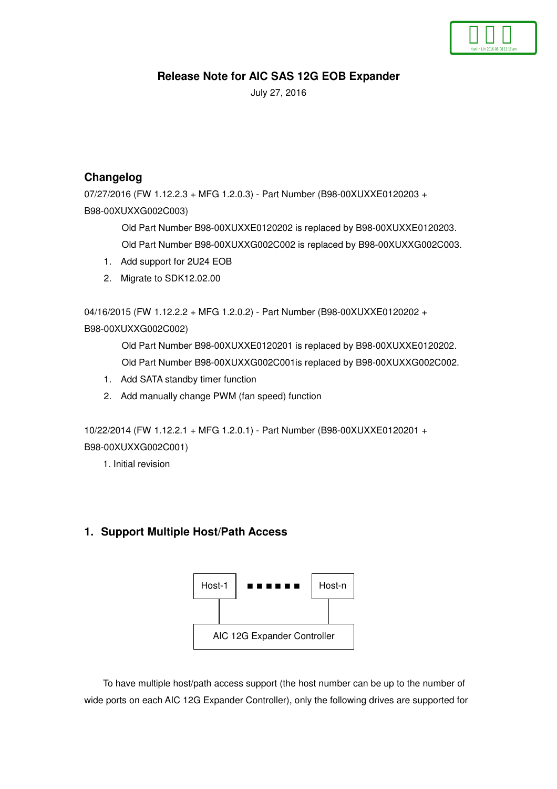# **Release Note for AIC SAS 12G EOB Expander**

July 27, 2016

## **Changelog**

07/27/2016 (FW 1.12.2.3 + MFG 1.2.0.3) - Part Number (B98-00XUXXE0120203 + B98-00XUXXG002C003)

> Old Part Number B98-00XUXXE0120202 is replaced by B98-00XUXXE0120203. Old Part Number B98-00XUXXG002C002 is replaced by B98-00XUXXG002C003.

- 1. Add support for 2U24 EOB
- 2. Migrate to SDK12.02.00

04/16/2015 (FW 1.12.2.2 + MFG 1.2.0.2) - Part Number (B98-00XUXXE0120202 + B98-00XUXXG002C002)

> Old Part Number B98-00XUXXE0120201 is replaced by B98-00XUXXE0120202. Old Part Number B98-00XUXXG002C001is replaced by B98-00XUXXG002C002.

- 1. Add SATA standby timer function
- 2. Add manually change PWM (fan speed) function

10/22/2014 (FW 1.12.2.1 + MFG 1.2.0.1) - Part Number (B98-00XUXXE0120201 + B98-00XUXXG002C001)

1. Initial revision

## **1. Support Multiple Host/Path Access**



To have multiple host/path access support (the host number can be up to the number of wide ports on each AIC 12G Expander Controller), only the following drives are supported for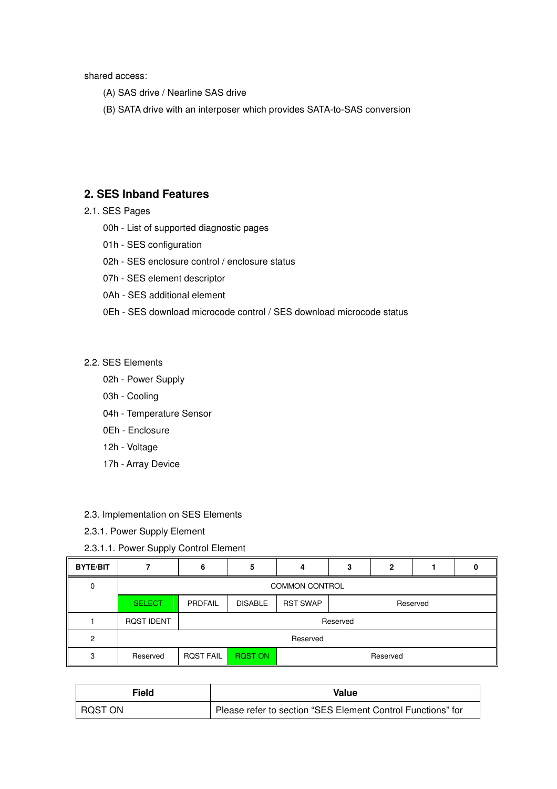shared access:

- (A) SAS drive / Nearline SAS drive
- (B) SATA drive with an interposer which provides SATA-to-SAS conversion

## **2. SES Inband Features**

- 2.1. SES Pages
	- 00h List of supported diagnostic pages
	- 01h SES configuration
	- 02h SES enclosure control / enclosure status
	- 07h SES element descriptor
	- 0Ah SES additional element
	- 0Eh SES download microcode control / SES download microcode status

#### 2.2. SES Elements

- 02h Power Supply
- 03h Cooling
- 04h Temperature Sensor
- 0Eh Enclosure
- 12h Voltage
- 17h Array Device
- 2.3. Implementation on SES Elements
- 2.3.1. Power Supply Element
- 2.3.1.1. Power Supply Control Element

| <b>BYTE/BIT</b> |                       | 6                | 5                                             | д | 3 |  |  |  |  |  |
|-----------------|-----------------------|------------------|-----------------------------------------------|---|---|--|--|--|--|--|
| 0               | <b>COMMON CONTROL</b> |                  |                                               |   |   |  |  |  |  |  |
|                 | <b>SELECT</b>         | PRDFAIL          | <b>RST SWAP</b><br><b>DISABLE</b><br>Reserved |   |   |  |  |  |  |  |
|                 | <b>ROST IDENT</b>     |                  | Reserved                                      |   |   |  |  |  |  |  |
| 2               |                       | Reserved         |                                               |   |   |  |  |  |  |  |
| 3               | Reserved              | <b>ROST FAIL</b> | <b>RQST ON</b><br>Reserved                    |   |   |  |  |  |  |  |

| Field   | Value                                                       |  |  |  |  |
|---------|-------------------------------------------------------------|--|--|--|--|
| RQST ON | Please refer to section "SES Element Control Functions" for |  |  |  |  |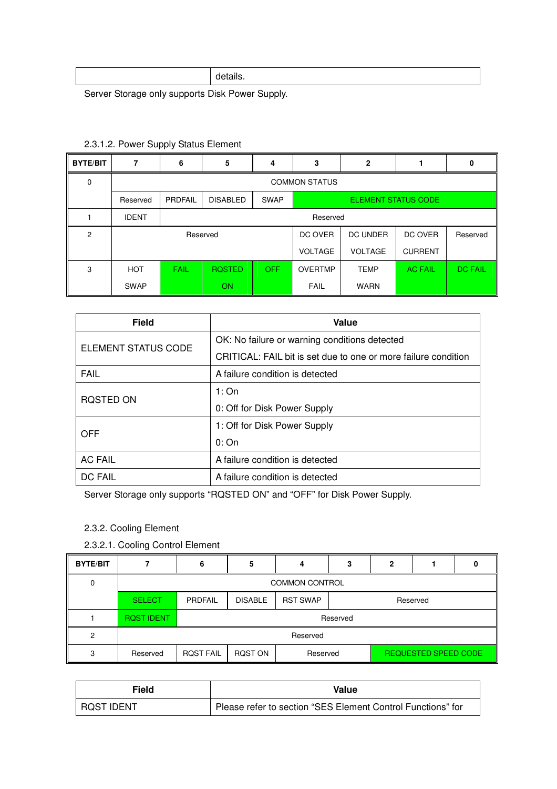|--|--|--|

Server Storage only supports Disk Power Supply.

| <b>BYTE/BIT</b> | 7            | 6                    | 5                                                            | 4    | 3              | $\mathbf{2}$    |                | 0              |  |  |
|-----------------|--------------|----------------------|--------------------------------------------------------------|------|----------------|-----------------|----------------|----------------|--|--|
| 0               |              | <b>COMMON STATUS</b> |                                                              |      |                |                 |                |                |  |  |
|                 | Reserved     | <b>PRDFAIL</b>       | <b>DISABLED</b><br><b>SWAP</b><br><b>ELEMENT STATUS CODE</b> |      |                |                 |                |                |  |  |
|                 | <b>IDENT</b> |                      |                                                              |      | Reserved       |                 |                |                |  |  |
| 2               |              |                      | Reserved                                                     |      | DC OVER        | <b>DC UNDER</b> | DC OVER        | Reserved       |  |  |
|                 |              |                      |                                                              |      | <b>VOLTAGE</b> | <b>VOLTAGE</b>  | <b>CURRENT</b> |                |  |  |
| 3               | <b>HOT</b>   | <b>FAIL</b>          | <b>ROSTED</b>                                                | OFF. | <b>OVERTMP</b> | <b>TEMP</b>     | <b>AC FAIL</b> | <b>DC FAIL</b> |  |  |
|                 | <b>SWAP</b>  |                      | ON                                                           |      | <b>FAIL</b>    | <b>WARN</b>     |                |                |  |  |

## 2.3.1.2. Power Supply Status Element

| <b>Field</b>        | Value                                                          |  |  |  |  |
|---------------------|----------------------------------------------------------------|--|--|--|--|
| ELEMENT STATUS CODE | OK: No failure or warning conditions detected                  |  |  |  |  |
|                     | CRITICAL: FAIL bit is set due to one or more failure condition |  |  |  |  |
| <b>FAIL</b>         | A failure condition is detected                                |  |  |  |  |
| RQSTED ON           | 1:On                                                           |  |  |  |  |
|                     | 0: Off for Disk Power Supply                                   |  |  |  |  |
| <b>OFF</b>          | 1: Off for Disk Power Supply                                   |  |  |  |  |
|                     | 0:On                                                           |  |  |  |  |
| <b>AC FAIL</b>      | A failure condition is detected                                |  |  |  |  |
| <b>DC FAIL</b>      | A failure condition is detected                                |  |  |  |  |

Server Storage only supports "RQSTED ON" and "OFF" for Disk Power Supply.

- 2.3.2. Cooling Element
- 2.3.2.1. Cooling Control Element

| <b>BYTE/BIT</b> |                       | 6                | 5              | 4               | 3                    | 2 |  |  |  |  |
|-----------------|-----------------------|------------------|----------------|-----------------|----------------------|---|--|--|--|--|
| 0               | <b>COMMON CONTROL</b> |                  |                |                 |                      |   |  |  |  |  |
|                 | <b>SELECT</b>         | PRDFAIL          | <b>DISABLE</b> | <b>RST SWAP</b> | Reserved             |   |  |  |  |  |
|                 | <b>ROST IDENT</b>     | Reserved         |                |                 |                      |   |  |  |  |  |
| 2               |                       | Reserved         |                |                 |                      |   |  |  |  |  |
| 3               | Reserved              | <b>ROST FAIL</b> | RQST ON        | Reserved        | REQUESTED SPEED CODE |   |  |  |  |  |

| Field        | Value                                                       |  |  |  |  |
|--------------|-------------------------------------------------------------|--|--|--|--|
| I ROST IDENT | Please refer to section "SES Element Control Functions" for |  |  |  |  |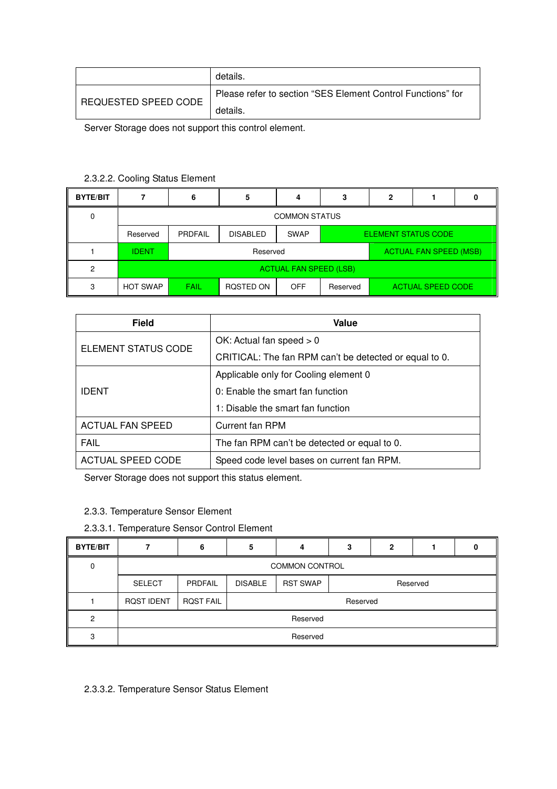|                      | details.                                                    |
|----------------------|-------------------------------------------------------------|
|                      | Please refer to section "SES Element Control Functions" for |
| REQUESTED SPEED CODE | details.                                                    |

Server Storage does not support this control element.

### 2.3.2.2. Cooling Status Element

| <b>BYTE/BIT</b> |                               | 6              | 5                                                            |                               | 3                                    | 2 |  |  |  |  |
|-----------------|-------------------------------|----------------|--------------------------------------------------------------|-------------------------------|--------------------------------------|---|--|--|--|--|
| 0               | <b>COMMON STATUS</b>          |                |                                                              |                               |                                      |   |  |  |  |  |
|                 | Reserved                      | <b>PRDFAIL</b> | <b>DISABLED</b><br><b>SWAP</b><br><b>ELEMENT STATUS CODE</b> |                               |                                      |   |  |  |  |  |
|                 | <b>IDENT</b>                  |                |                                                              | <b>ACTUAL FAN SPEED (MSB)</b> |                                      |   |  |  |  |  |
| 2               | <b>ACTUAL FAN SPEED (LSB)</b> |                |                                                              |                               |                                      |   |  |  |  |  |
| 3               | <b>HOT SWAP</b>               | FAIL           | ROSTED ON                                                    | OFF                           | <b>ACTUAL SPEED CODE</b><br>Reserved |   |  |  |  |  |

| <b>Field</b>             | Value                                                  |  |  |  |  |
|--------------------------|--------------------------------------------------------|--|--|--|--|
| ELEMENT STATUS CODE      | OK: Actual fan speed $> 0$                             |  |  |  |  |
|                          | CRITICAL: The fan RPM can't be detected or equal to 0. |  |  |  |  |
|                          | Applicable only for Cooling element 0                  |  |  |  |  |
| <b>IDENT</b>             | 0: Enable the smart fan function                       |  |  |  |  |
|                          | 1: Disable the smart fan function                      |  |  |  |  |
| <b>ACTUAL FAN SPEED</b>  | <b>Current fan RPM</b>                                 |  |  |  |  |
| <b>FAIL</b>              | The fan RPM can't be detected or equal to 0.           |  |  |  |  |
| <b>ACTUAL SPEED CODE</b> | Speed code level bases on current fan RPM.             |  |  |  |  |

Server Storage does not support this status element.

- 2.3.3. Temperature Sensor Element
- 2.3.3.1. Temperature Sensor Control Element

| <b>BYTE/BIT</b> |                       |                  |                |                 | з | n |          |  |  |  |
|-----------------|-----------------------|------------------|----------------|-----------------|---|---|----------|--|--|--|
| 0               | <b>COMMON CONTROL</b> |                  |                |                 |   |   |          |  |  |  |
|                 | <b>SELECT</b>         | PRDFAIL          | <b>DISABLE</b> | <b>RST SWAP</b> |   |   | Reserved |  |  |  |
|                 | <b>ROST IDENT</b>     | <b>ROST FAIL</b> |                | Reserved        |   |   |          |  |  |  |
| ົ               | Reserved              |                  |                |                 |   |   |          |  |  |  |
| ≏               | Reserved              |                  |                |                 |   |   |          |  |  |  |

2.3.3.2. Temperature Sensor Status Element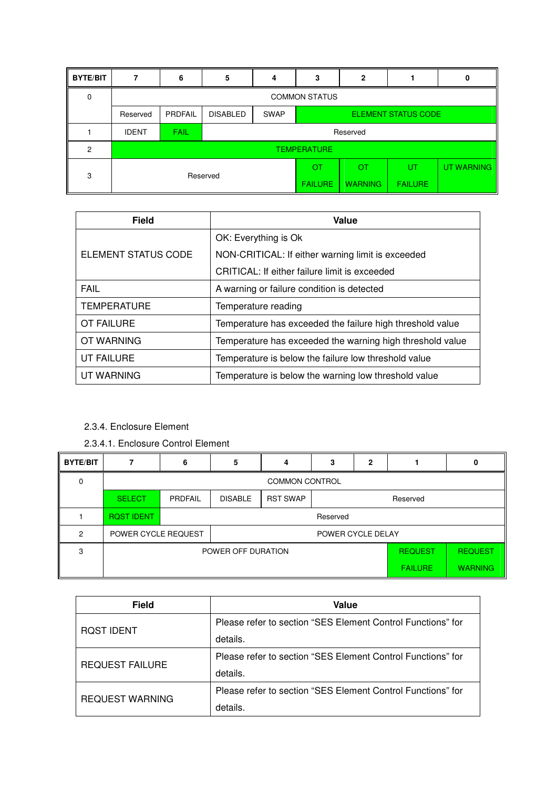| <b>BYTE/BIT</b> |                      | 6                  | 5               | 4                                         | 3              | 2              |                |            |  |  |
|-----------------|----------------------|--------------------|-----------------|-------------------------------------------|----------------|----------------|----------------|------------|--|--|
| 0               | <b>COMMON STATUS</b> |                    |                 |                                           |                |                |                |            |  |  |
|                 | Reserved             | <b>PRDFAIL</b>     | <b>DISABLED</b> | <b>SWAP</b><br><b>ELEMENT STATUS CODE</b> |                |                |                |            |  |  |
|                 | <b>IDENT</b>         | <b>FAIL</b>        |                 |                                           |                | Reserved       |                |            |  |  |
| 2               |                      | <b>TEMPERATURE</b> |                 |                                           |                |                |                |            |  |  |
| 3               | Reserved             |                    |                 |                                           | <b>OT</b>      | <b>OT</b>      | UT             | UT WARNING |  |  |
|                 |                      |                    |                 |                                           | <b>FAILURE</b> | <b>WARNING</b> | <b>FAILURE</b> |            |  |  |

| <b>Field</b>        | Value                                                     |
|---------------------|-----------------------------------------------------------|
|                     | OK: Everything is Ok                                      |
| ELEMENT STATUS CODE | NON-CRITICAL: If either warning limit is exceeded         |
|                     | CRITICAL: If either failure limit is exceeded             |
| <b>FAIL</b>         | A warning or failure condition is detected                |
| <b>TEMPERATURE</b>  | Temperature reading                                       |
| OT FAILURE          | Temperature has exceeded the failure high threshold value |
| OT WARNING          | Temperature has exceeded the warning high threshold value |
| UT FAILURE          | Temperature is below the failure low threshold value      |
| UT WARNING          | Temperature is below the warning low threshold value      |

### 2.3.4. Enclosure Element

2.3.4.1. Enclosure Control Element

| <b>BYTE/BIT</b> |                     | 6                                    | 5                 | 4               | 3 | $\mathbf{2}$   |                | 0              |
|-----------------|---------------------|--------------------------------------|-------------------|-----------------|---|----------------|----------------|----------------|
| $\Omega$        |                     | <b>COMMON CONTROL</b>                |                   |                 |   |                |                |                |
|                 | <b>SELECT</b>       | <b>PRDFAIL</b>                       | <b>DISABLE</b>    | <b>RST SWAP</b> |   |                | Reserved       |                |
|                 | <b>RQST IDENT</b>   | Reserved                             |                   |                 |   |                |                |                |
| 2               | POWER CYCLE REQUEST |                                      | POWER CYCLE DELAY |                 |   |                |                |                |
| 3               |                     | POWER OFF DURATION<br><b>REQUEST</b> |                   |                 |   | <b>REQUEST</b> |                |                |
|                 |                     |                                      |                   |                 |   |                | <b>FAILURE</b> | <b>WARNING</b> |

| <b>Field</b>           | Value                                                       |  |  |  |
|------------------------|-------------------------------------------------------------|--|--|--|
|                        | Please refer to section "SES Element Control Functions" for |  |  |  |
| <b>ROST IDENT</b>      | details.                                                    |  |  |  |
| <b>REQUEST FAILURE</b> | Please refer to section "SES Element Control Functions" for |  |  |  |
|                        | details.                                                    |  |  |  |
|                        | Please refer to section "SES Element Control Functions" for |  |  |  |
| <b>REQUEST WARNING</b> | details.                                                    |  |  |  |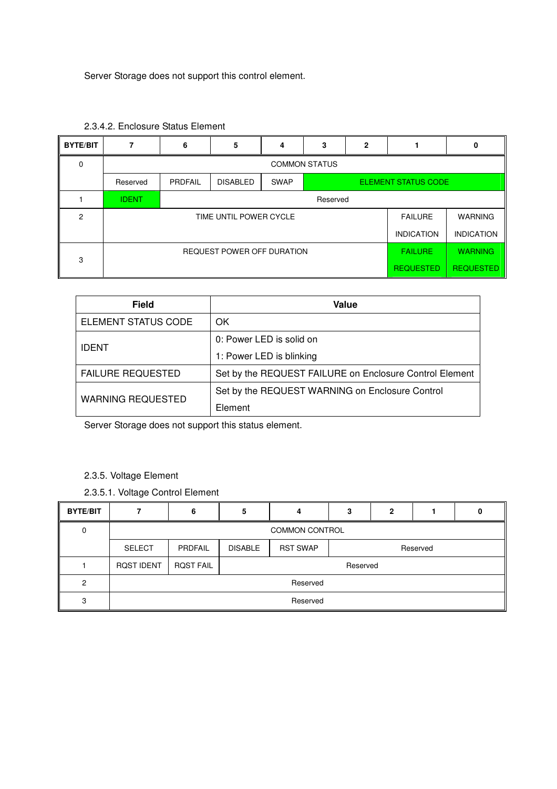Server Storage does not support this control element.

| <b>BYTE/BIT</b> |                                                     | 6                    | 5               | 4           | 3                          | 2 |                   | 0 |
|-----------------|-----------------------------------------------------|----------------------|-----------------|-------------|----------------------------|---|-------------------|---|
| 0               |                                                     | <b>COMMON STATUS</b> |                 |             |                            |   |                   |   |
|                 | Reserved                                            | PRDFAIL              | <b>DISABLED</b> | <b>SWAP</b> | <b>ELEMENT STATUS CODE</b> |   |                   |   |
|                 | <b>IDENT</b>                                        |                      | Reserved        |             |                            |   |                   |   |
| 2               | TIME UNTIL POWER CYCLE<br><b>FAILURE</b>            |                      |                 |             |                            |   | <b>WARNING</b>    |   |
|                 | <b>INDICATION</b>                                   |                      |                 |             |                            |   | <b>INDICATION</b> |   |
| 3               | <b>REQUEST POWER OFF DURATION</b><br><b>FAILURE</b> |                      |                 |             |                            |   | <b>WARNING</b>    |   |
|                 | <b>REQUESTED</b>                                    |                      |                 |             |                            |   | <b>REQUESTED</b>  |   |

|  | 2.3.4.2. Enclosure Status Element |  |
|--|-----------------------------------|--|
|--|-----------------------------------|--|

| <b>Field</b>             | Value                                                   |
|--------------------------|---------------------------------------------------------|
| ELEMENT STATUS CODE      | OK                                                      |
|                          | 0: Power LED is solid on                                |
| <b>IDENT</b>             | 1: Power LED is blinking                                |
| <b>FAILURE REQUESTED</b> | Set by the REQUEST FAILURE on Enclosure Control Element |
|                          | Set by the REQUEST WARNING on Enclosure Control         |
| <b>WARNING REQUESTED</b> | Element                                                 |

Server Storage does not support this status element.

- 2.3.5. Voltage Element
- 2.3.5.1. Voltage Control Element

| <b>BYTE/BIT</b> |                       | 6                | 5              |                 | з | ּ |          |  |
|-----------------|-----------------------|------------------|----------------|-----------------|---|---|----------|--|
| 0               | <b>COMMON CONTROL</b> |                  |                |                 |   |   |          |  |
|                 | <b>SELECT</b>         | PRDFAIL          | <b>DISABLE</b> | <b>RST SWAP</b> |   |   | Reserved |  |
|                 | <b>ROST IDENT</b>     | <b>ROST FAIL</b> | Reserved       |                 |   |   |          |  |
| 2               |                       | Reserved         |                |                 |   |   |          |  |
| 3               | Reserved              |                  |                |                 |   |   |          |  |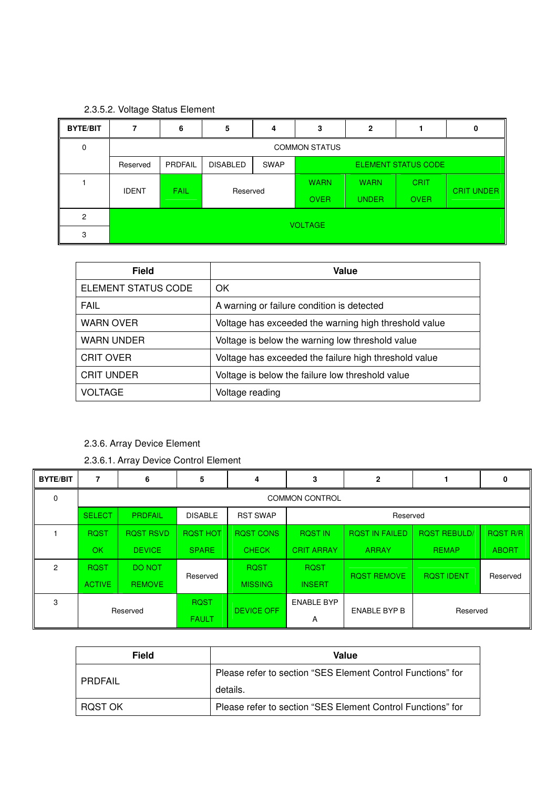# 2.3.5.2. Voltage Status Element

| <b>BYTE/BIT</b> |              | 6                    | 5               | 4           | 3           | 2            |                     | 0                 |
|-----------------|--------------|----------------------|-----------------|-------------|-------------|--------------|---------------------|-------------------|
| 0               |              | <b>COMMON STATUS</b> |                 |             |             |              |                     |                   |
|                 | Reserved     | PRDFAIL              | <b>DISABLED</b> | <b>SWAP</b> |             |              | ELEMENT STATUS CODE |                   |
|                 | <b>IDENT</b> | <b>FAIL</b>          | Reserved        |             | <b>WARN</b> | <b>WARN</b>  | <b>CRIT</b>         | <b>CRIT UNDER</b> |
|                 |              |                      |                 |             | <b>OVER</b> | <b>UNDER</b> | <b>OVER</b>         |                   |
| 2               |              |                      |                 |             |             |              |                     |                   |
| 3               |              | <b>VOLTAGE</b>       |                 |             |             |              |                     |                   |

| <b>Field</b>        | Value                                                 |
|---------------------|-------------------------------------------------------|
| ELEMENT STATUS CODE | OK.                                                   |
| <b>FAIL</b>         | A warning or failure condition is detected            |
| <b>WARN OVER</b>    | Voltage has exceeded the warning high threshold value |
| <b>WARN UNDER</b>   | Voltage is below the warning low threshold value      |
| <b>CRIT OVER</b>    | Voltage has exceeded the failure high threshold value |
| <b>CRIT UNDER</b>   | Voltage is below the failure low threshold value      |
| <b>VOLTAGE</b>      | Voltage reading                                       |

# 2.3.6. Array Device Element

2.3.6.1. Array Device Control Element

| <b>BYTE/BIT</b> |               | 6                     | 5               | 4                           | 3                 | 2                     |                     | 0               |  |
|-----------------|---------------|-----------------------|-----------------|-----------------------------|-------------------|-----------------------|---------------------|-----------------|--|
| $\Omega$        |               | <b>COMMON CONTROL</b> |                 |                             |                   |                       |                     |                 |  |
|                 | <b>SELECT</b> | <b>PRDFAIL</b>        | <b>DISABLE</b>  | <b>RST SWAP</b><br>Reserved |                   |                       |                     |                 |  |
|                 | <b>ROST</b>   | <b>ROST RSVD</b>      | <b>ROST HOT</b> | <b>ROST CONS</b>            | <b>ROST IN</b>    | <b>ROST IN FAILED</b> | <b>ROST REBULD/</b> | <b>ROST R/R</b> |  |
|                 | <b>OK</b>     | <b>DEVICE</b>         | <b>SPARE</b>    | <b>CHECK</b>                | <b>CRIT ARRAY</b> | <b>ARRAY</b>          | <b>REMAP</b>        | <b>ABORT</b>    |  |
| 2               | <b>ROST</b>   | <b>DO NOT</b>         | Reserved        | <b>ROST</b>                 | <b>ROST</b>       | <b>ROST REMOVE</b>    | <b>ROST IDENT</b>   |                 |  |
|                 | <b>ACTIVE</b> | <b>REMOVE</b>         |                 | <b>MISSING</b>              | <b>INSERT</b>     |                       |                     | Reserved        |  |
| 3               |               |                       | <b>ROST</b>     | <b>DEVICE OFF</b>           | <b>ENABLE BYP</b> | <b>ENABLE BYP B</b>   |                     |                 |  |
|                 |               | Reserved              | <b>FAULT</b>    |                             | Α                 |                       | Reserved            |                 |  |

| <b>Field</b> | Value                                                       |
|--------------|-------------------------------------------------------------|
|              | Please refer to section "SES Element Control Functions" for |
| PRDFAIL      | details.                                                    |
| ROST OK      | Please refer to section "SES Element Control Functions" for |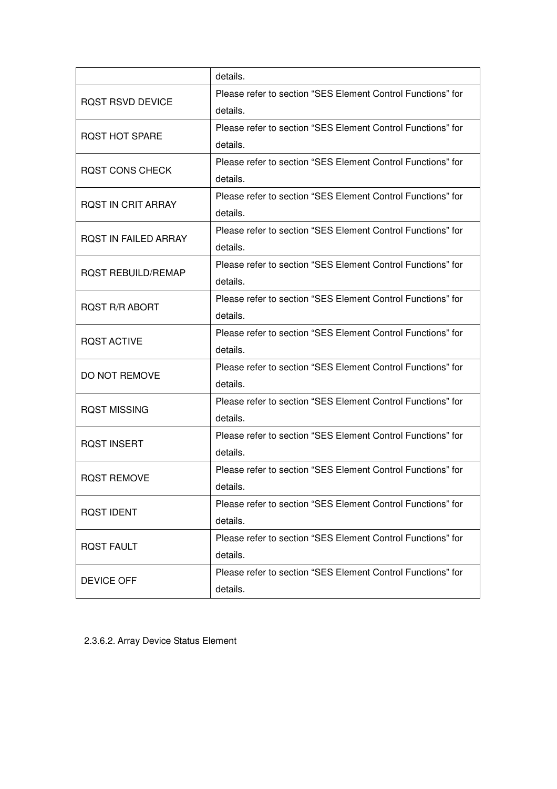|                             | details.                                                    |
|-----------------------------|-------------------------------------------------------------|
| <b>ROST RSVD DEVICE</b>     | Please refer to section "SES Element Control Functions" for |
|                             | details.                                                    |
| <b>ROST HOT SPARE</b>       | Please refer to section "SES Element Control Functions" for |
|                             | details.                                                    |
| <b>ROST CONS CHECK</b>      | Please refer to section "SES Element Control Functions" for |
|                             | details.                                                    |
| <b>ROST IN CRIT ARRAY</b>   | Please refer to section "SES Element Control Functions" for |
|                             | details.                                                    |
|                             | Please refer to section "SES Element Control Functions" for |
| <b>ROST IN FAILED ARRAY</b> | details.                                                    |
|                             | Please refer to section "SES Element Control Functions" for |
| <b>ROST REBUILD/REMAP</b>   | details.                                                    |
|                             | Please refer to section "SES Element Control Functions" for |
| <b>RQST R/R ABORT</b>       | details.                                                    |
| <b>RQST ACTIVE</b>          | Please refer to section "SES Element Control Functions" for |
|                             | details.                                                    |
| DO NOT REMOVE               | Please refer to section "SES Element Control Functions" for |
|                             | details.                                                    |
| <b>RQST MISSING</b>         | Please refer to section "SES Element Control Functions" for |
|                             | details.                                                    |
| <b>RQST INSERT</b>          | Please refer to section "SES Element Control Functions" for |
|                             | details.                                                    |
| <b>RQST REMOVE</b>          | Please refer to section "SES Element Control Functions" for |
|                             | details.                                                    |
| <b>RQST IDENT</b>           | Please refer to section "SES Element Control Functions" for |
|                             | details.                                                    |
| <b>RQST FAULT</b>           | Please refer to section "SES Element Control Functions" for |
|                             | details.                                                    |
| <b>DEVICE OFF</b>           | Please refer to section "SES Element Control Functions" for |
|                             | details.                                                    |

2.3.6.2. Array Device Status Element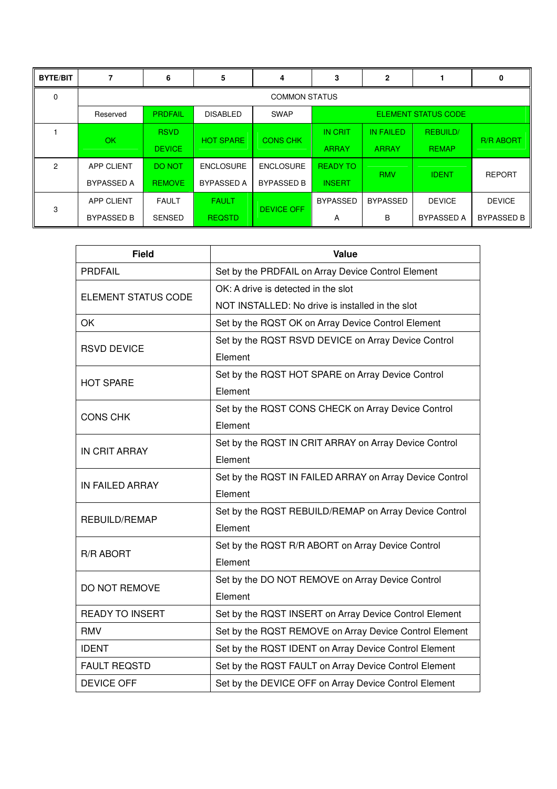| <b>BYTE/BIT</b> |                      | 6              | 5                                                            | 4                 | 3               | 2                |                   | 0                 |  |
|-----------------|----------------------|----------------|--------------------------------------------------------------|-------------------|-----------------|------------------|-------------------|-------------------|--|
| $\Omega$        | <b>COMMON STATUS</b> |                |                                                              |                   |                 |                  |                   |                   |  |
|                 | Reserved             | <b>PRDFAIL</b> | <b>SWAP</b><br><b>ELEMENT STATUS CODE</b><br><b>DISABLED</b> |                   |                 |                  |                   |                   |  |
|                 | <b>OK</b>            | <b>RSVD</b>    | <b>HOT SPARE</b>                                             | <b>CONS CHK</b>   | <b>IN CRIT</b>  | <b>IN FAILED</b> | <b>REBUILD/</b>   | <b>R/R ABORT</b>  |  |
|                 |                      | <b>DEVICE</b>  |                                                              |                   | <b>ARRAY</b>    | <b>ARRAY</b>     | <b>REMAP</b>      |                   |  |
| 2               | <b>APP CLIENT</b>    | DO NOT         | <b>ENCLOSURE</b>                                             | <b>ENCLOSURE</b>  | <b>READY TO</b> | <b>RMV</b>       | <b>IDENT</b>      |                   |  |
|                 | <b>BYPASSED A</b>    | <b>REMOVE</b>  | <b>BYPASSED A</b>                                            | <b>BYPASSED B</b> | <b>INSERT</b>   |                  |                   | <b>REPORT</b>     |  |
| 3               | APP CLIENT           | <b>FAULT</b>   | <b>FAULT</b>                                                 | <b>DEVICE OFF</b> | <b>BYPASSED</b> | <b>BYPASSED</b>  | <b>DEVICE</b>     | <b>DEVICE</b>     |  |
|                 | <b>BYPASSED B</b>    | <b>SENSED</b>  | <b>REQSTD</b>                                                |                   | A               | в                | <b>BYPASSED A</b> | <b>BYPASSED B</b> |  |

| <b>Field</b>               | Value                                                   |
|----------------------------|---------------------------------------------------------|
| <b>PRDFAIL</b>             | Set by the PRDFAIL on Array Device Control Element      |
| <b>ELEMENT STATUS CODE</b> | OK: A drive is detected in the slot                     |
|                            | NOT INSTALLED: No drive is installed in the slot        |
| OK                         | Set by the RQST OK on Array Device Control Element      |
| <b>RSVD DEVICE</b>         | Set by the RQST RSVD DEVICE on Array Device Control     |
|                            | Element                                                 |
| <b>HOT SPARE</b>           | Set by the RQST HOT SPARE on Array Device Control       |
|                            | Element                                                 |
| <b>CONS CHK</b>            | Set by the RQST CONS CHECK on Array Device Control      |
|                            | Element                                                 |
| <b>IN CRIT ARRAY</b>       | Set by the RQST IN CRIT ARRAY on Array Device Control   |
|                            | Element                                                 |
| <b>IN FAILED ARRAY</b>     | Set by the RQST IN FAILED ARRAY on Array Device Control |
|                            | Element                                                 |
| <b>REBUILD/REMAP</b>       | Set by the RQST REBUILD/REMAP on Array Device Control   |
|                            | Element                                                 |
| <b>R/R ABORT</b>           | Set by the RQST R/R ABORT on Array Device Control       |
|                            | Element                                                 |
| DO NOT REMOVE              | Set by the DO NOT REMOVE on Array Device Control        |
|                            | Element                                                 |
| <b>READY TO INSERT</b>     | Set by the RQST INSERT on Array Device Control Element  |
| <b>RMV</b>                 | Set by the RQST REMOVE on Array Device Control Element  |
| <b>IDENT</b>               | Set by the RQST IDENT on Array Device Control Element   |
| <b>FAULT REQSTD</b>        | Set by the RQST FAULT on Array Device Control Element   |
| <b>DEVICE OFF</b>          | Set by the DEVICE OFF on Array Device Control Element   |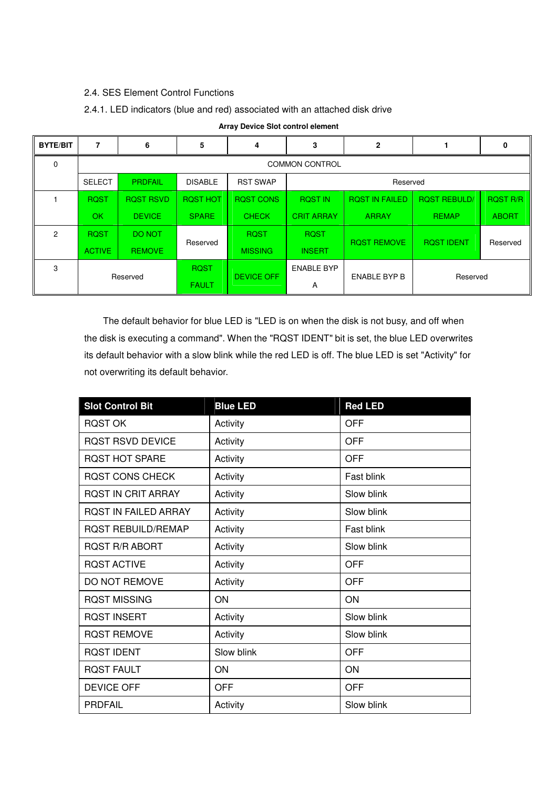### 2.4. SES Element Control Functions

### 2.4.1. LED indicators (blue and red) associated with an attached disk drive

| <b>BYTE/BIT</b> | 7             | 6                     | 5               | 4                           | 3                 | $\mathbf{2}$          |                     | $\mathbf{0}$    |  |  |  |
|-----------------|---------------|-----------------------|-----------------|-----------------------------|-------------------|-----------------------|---------------------|-----------------|--|--|--|
| $\mathbf 0$     |               | <b>COMMON CONTROL</b> |                 |                             |                   |                       |                     |                 |  |  |  |
|                 | <b>SELECT</b> | <b>PRDFAIL</b>        | <b>DISABLE</b>  | <b>RST SWAP</b><br>Reserved |                   |                       |                     |                 |  |  |  |
|                 | <b>ROST</b>   | <b>ROST RSVD</b>      | <b>ROST HOT</b> | <b>ROST CONS</b>            | <b>ROST IN</b>    | <b>ROST IN FAILED</b> | <b>ROST REBULD/</b> | <b>ROST R/R</b> |  |  |  |
|                 | <b>OK</b>     | <b>DEVICE</b>         | <b>SPARE</b>    | <b>CHECK</b>                | <b>CRIT ARRAY</b> | <b>ARRAY</b>          | <b>REMAP</b>        | <b>ABORT</b>    |  |  |  |
| $\overline{2}$  | <b>ROST</b>   | <b>DO NOT</b>         | Reserved        | <b>RQST</b>                 | <b>ROST</b>       | <b>ROST REMOVE</b>    | <b>ROST IDENT</b>   | Reserved        |  |  |  |
|                 | <b>ACTIVE</b> | <b>REMOVE</b>         |                 | <b>MISSING</b>              | <b>INSERT</b>     |                       |                     |                 |  |  |  |
| 3               | Reserved      |                       | <b>ROST</b>     | <b>DEVICE OFF</b>           | <b>ENABLE BYP</b> | <b>ENABLE BYP B</b>   |                     |                 |  |  |  |
|                 |               |                       | <b>FAULT</b>    |                             | Α                 |                       | Reserved            |                 |  |  |  |

#### **Array Device Slot control element**

 The default behavior for blue LED is "LED is on when the disk is not busy, and off when the disk is executing a command". When the "RQST IDENT" bit is set, the blue LED overwrites its default behavior with a slow blink while the red LED is off. The blue LED is set "Activity" for not overwriting its default behavior.

| <b>Slot Control Bit</b>     | <b>Blue LED</b> | <b>Red LED</b> |
|-----------------------------|-----------------|----------------|
| <b>RQST OK</b>              | Activity        | <b>OFF</b>     |
| <b>ROST RSVD DEVICE</b>     | Activity        | <b>OFF</b>     |
| <b>ROST HOT SPARE</b>       | Activity        | <b>OFF</b>     |
| <b>ROST CONS CHECK</b>      | Activity        | Fast blink     |
| <b>ROST IN CRIT ARRAY</b>   | Activity        | Slow blink     |
| <b>ROST IN FAILED ARRAY</b> | Activity        | Slow blink     |
| <b>ROST REBUILD/REMAP</b>   | Activity        | Fast blink     |
| <b>ROST R/R ABORT</b>       | Activity        | Slow blink     |
| <b>ROST ACTIVE</b>          | Activity        | OFF            |
| <b>DO NOT REMOVE</b>        | Activity        | <b>OFF</b>     |
| <b>RQST MISSING</b>         | ON              | ON             |
| <b>RQST INSERT</b>          | Activity        | Slow blink     |
| <b>ROST REMOVE</b>          | Activity        | Slow blink     |
| <b>ROST IDENT</b>           | Slow blink      | <b>OFF</b>     |
| <b>RQST FAULT</b>           | ON              | ON             |
| <b>DEVICE OFF</b>           | <b>OFF</b>      | <b>OFF</b>     |
| <b>PRDFAIL</b>              | Activity        | Slow blink     |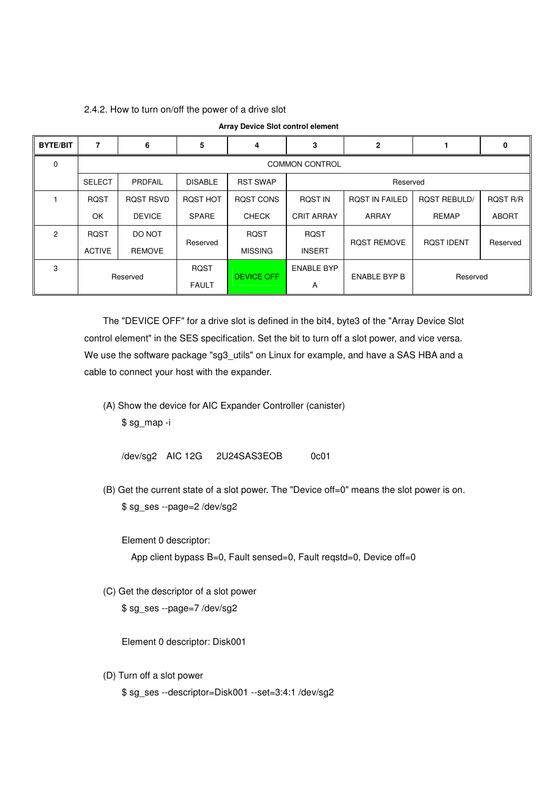#### 2.4.2. How to turn on/off the power of a drive slot

| <b>BYTE/BIT</b> | 7             | 6                     | 5              | 4                           | 3                 | $\mathbf{2}$          |                     | 0               |  |  |  |
|-----------------|---------------|-----------------------|----------------|-----------------------------|-------------------|-----------------------|---------------------|-----------------|--|--|--|
| $\Omega$        |               | <b>COMMON CONTROL</b> |                |                             |                   |                       |                     |                 |  |  |  |
|                 | <b>SELECT</b> | PRDFAIL               | <b>DISABLE</b> | <b>RST SWAP</b><br>Reserved |                   |                       |                     |                 |  |  |  |
|                 | <b>ROST</b>   | <b>ROST RSVD</b>      | ROST HOT       | ROST CONS                   | <b>ROST IN</b>    | <b>ROST IN FAILED</b> | <b>ROST REBULD/</b> | <b>ROST R/R</b> |  |  |  |
|                 | OK            | <b>DEVICE</b>         | <b>SPARE</b>   | <b>CHECK</b>                | <b>CRIT ARRAY</b> | ARRAY                 | <b>REMAP</b>        | <b>ABORT</b>    |  |  |  |
| $\mathcal{P}$   | <b>RQST</b>   | DO NOT                | Reserved       | <b>RQST</b>                 | <b>RQST</b>       | <b>ROST REMOVE</b>    |                     | Reserved        |  |  |  |
|                 | <b>ACTIVE</b> | <b>REMOVE</b>         |                | <b>MISSING</b>              | <b>INSERT</b>     |                       | <b>ROST IDENT</b>   |                 |  |  |  |
| 3               | Reserved      |                       | <b>RQST</b>    | <b>DEVICE OFF</b>           | <b>ENABLE BYP</b> | <b>ENABLE BYP B</b>   |                     |                 |  |  |  |
|                 |               |                       | <b>FAULT</b>   |                             | A                 |                       | Reserved            |                 |  |  |  |

**Array Device Slot control element**

 The "DEVICE OFF" for a drive slot is defined in the bit4, byte3 of the "Array Device Slot control element" in the SES specification. Set the bit to turn off a slot power, and vice versa. We use the software package "sg3\_utils" on Linux for example, and have a SAS HBA and a cable to connect your host with the expander.

 (A) Show the device for AIC Expander Controller (canister) \$ sg\_map -i

/dev/sg2 AIC 12G 2U24SAS3EOB 0c01

 (B) Get the current state of a slot power. The "Device off=0" means the slot power is on. \$ sg\_ses --page=2 /dev/sg2

Element 0 descriptor:

App client bypass B=0, Fault sensed=0, Fault reqstd=0, Device off=0

(C) Get the descriptor of a slot power

\$ sg\_ses --page=7 /dev/sg2

Element 0 descriptor: Disk001

 (D) Turn off a slot power \$ sg\_ses --descriptor=Disk001 --set=3:4:1 /dev/sg2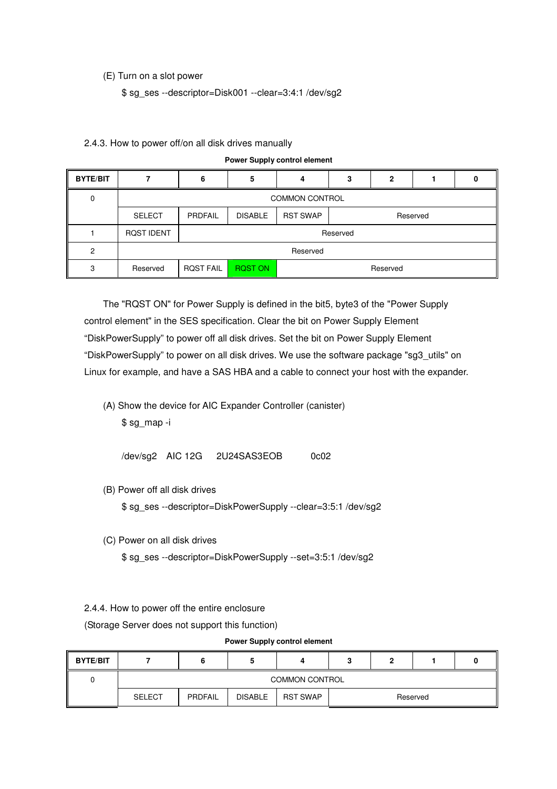#### (E) Turn on a slot power

\$ sg\_ses --descriptor=Disk001 --clear=3:4:1 /dev/sg2

|                 | <b>Power Supply control element</b> |                                                          |                            |   |   |              |  |  |
|-----------------|-------------------------------------|----------------------------------------------------------|----------------------------|---|---|--------------|--|--|
| <b>BYTE/BIT</b> |                                     | 6                                                        | 5                          | 4 | 3 | $\mathbf{2}$ |  |  |
| 0               |                                     | <b>COMMON CONTROL</b>                                    |                            |   |   |              |  |  |
|                 | <b>SELECT</b>                       | <b>DISABLE</b><br><b>RST SWAP</b><br>PRDFAIL<br>Reserved |                            |   |   |              |  |  |
|                 | <b>ROST IDENT</b>                   |                                                          | Reserved                   |   |   |              |  |  |
| 2               |                                     | Reserved                                                 |                            |   |   |              |  |  |
| 3               | Reserved                            | <b>ROST FAIL</b>                                         | <b>RQST ON</b><br>Reserved |   |   |              |  |  |

#### 2.4.3. How to power off/on all disk drives manually

 The "RQST ON" for Power Supply is defined in the bit5, byte3 of the "Power Supply control element" in the SES specification. Clear the bit on Power Supply Element "DiskPowerSupply" to power off all disk drives. Set the bit on Power Supply Element "DiskPowerSupply" to power on all disk drives. We use the software package "sg3\_utils" on Linux for example, and have a SAS HBA and a cable to connect your host with the expander.

 (A) Show the device for AIC Expander Controller (canister) \$ sg\_map -i

/dev/sg2 AIC 12G 2U24SAS3EOB 0c02

(B) Power off all disk drives

\$ sg\_ses --descriptor=DiskPowerSupply --clear=3:5:1 /dev/sg2

(C) Power on all disk drives

\$ sg\_ses --descriptor=DiskPowerSupply --set=3:5:1 /dev/sg2

#### 2.4.4. How to power off the entire enclosure

(Storage Server does not support this function)

#### **Power Supply control element**

| <b>BYTE/BIT</b> |               |                                                                 |  |  |  |  |  |  |  |
|-----------------|---------------|-----------------------------------------------------------------|--|--|--|--|--|--|--|
|                 |               | <b>COMMON CONTROL</b>                                           |  |  |  |  |  |  |  |
|                 | <b>SELECT</b> | <b>DISABLE</b><br><b>RST SWAP</b><br><b>PRDFAIL</b><br>Reserved |  |  |  |  |  |  |  |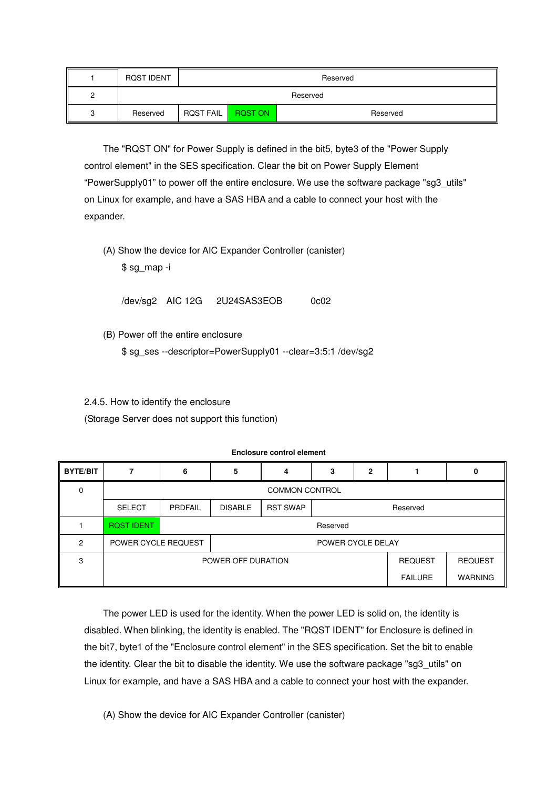| <b>ROST IDENT</b> | Reserved         |                            |  |  |  |  |  |
|-------------------|------------------|----------------------------|--|--|--|--|--|
|                   |                  | Reserved                   |  |  |  |  |  |
| Reserved          | <b>ROST FAIL</b> | <b>RQST ON</b><br>Reserved |  |  |  |  |  |

 The "RQST ON" for Power Supply is defined in the bit5, byte3 of the "Power Supply control element" in the SES specification. Clear the bit on Power Supply Element "PowerSupply01" to power off the entire enclosure. We use the software package "sg3\_utils" on Linux for example, and have a SAS HBA and a cable to connect your host with the expander.

 (A) Show the device for AIC Expander Controller (canister) \$ sg\_map -i

/dev/sg2 AIC 12G 2U24SAS3EOB 0c02

(B) Power off the entire enclosure

\$ sg\_ses --descriptor=PowerSupply01 --clear=3:5:1 /dev/sg2

2.4.5. How to identify the enclosure

(Storage Server does not support this function)

#### **Enclosure control element**

| <b>BYTE/BIT</b> |                     | 6                     | n              |                             |                   | 2              |                |                |
|-----------------|---------------------|-----------------------|----------------|-----------------------------|-------------------|----------------|----------------|----------------|
| $\Omega$        |                     | <b>COMMON CONTROL</b> |                |                             |                   |                |                |                |
|                 | <b>SELECT</b>       | PRDFAIL               | <b>DISABLE</b> | <b>RST SWAP</b><br>Reserved |                   |                |                |                |
|                 | <b>RQST IDENT</b>   | Reserved              |                |                             |                   |                |                |                |
| 2               | POWER CYCLE REQUEST |                       |                |                             | POWER CYCLE DELAY |                |                |                |
| 3               | POWER OFF DURATION  |                       |                |                             |                   | <b>REQUEST</b> | <b>REQUEST</b> |                |
|                 |                     | <b>FAILURE</b>        |                |                             |                   |                |                | <b>WARNING</b> |

 The power LED is used for the identity. When the power LED is solid on, the identity is disabled. When blinking, the identity is enabled. The "RQST IDENT" for Enclosure is defined in the bit7, byte1 of the "Enclosure control element" in the SES specification. Set the bit to enable the identity. Clear the bit to disable the identity. We use the software package "sg3\_utils" on Linux for example, and have a SAS HBA and a cable to connect your host with the expander.

(A) Show the device for AIC Expander Controller (canister)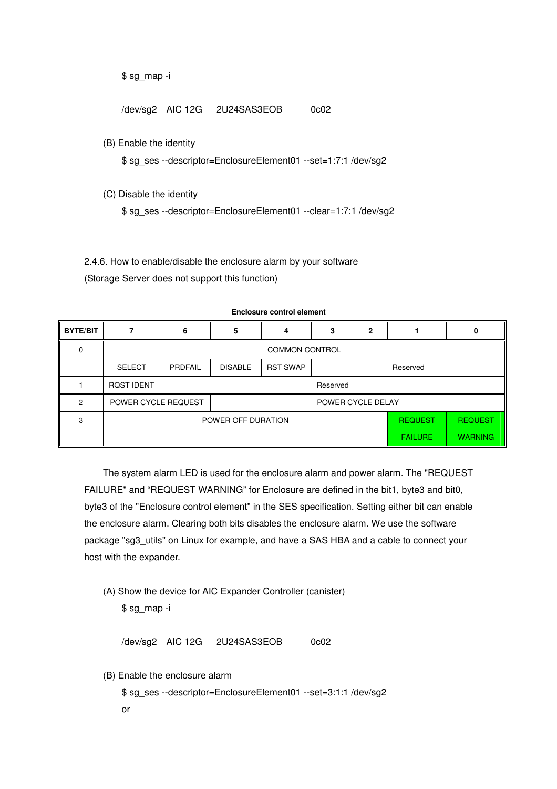\$ sg\_map -i

/dev/sg2 AIC 12G 2U24SAS3EOB 0c02

(B) Enable the identity

\$ sg\_ses --descriptor=EnclosureElement01 --set=1:7:1 /dev/sg2

(C) Disable the identity

\$ sg\_ses --descriptor=EnclosureElement01 --clear=1:7:1 /dev/sg2

2.4.6. How to enable/disable the enclosure alarm by your software (Storage Server does not support this function)

| <b>BYTE/BIT</b> |                     | 6                                | 5              |                             | 3                 | 2              |                |  |  |
|-----------------|---------------------|----------------------------------|----------------|-----------------------------|-------------------|----------------|----------------|--|--|
| $\Omega$        |                     | <b>COMMON CONTROL</b>            |                |                             |                   |                |                |  |  |
|                 | <b>SELECT</b>       | PRDFAIL                          | <b>DISABLE</b> | <b>RST SWAP</b><br>Reserved |                   |                |                |  |  |
|                 | <b>RQST IDENT</b>   |                                  | Reserved       |                             |                   |                |                |  |  |
| 2               | POWER CYCLE REQUEST |                                  |                |                             | POWER CYCLE DELAY |                |                |  |  |
| 3               | POWER OFF DURATION  |                                  |                |                             |                   | <b>REQUEST</b> | <b>REQUEST</b> |  |  |
|                 |                     | <b>WARNING</b><br><b>FAILURE</b> |                |                             |                   |                |                |  |  |

**Enclosure control element**

 The system alarm LED is used for the enclosure alarm and power alarm. The "REQUEST FAILURE" and "REQUEST WARNING" for Enclosure are defined in the bit1, byte3 and bit0, byte3 of the "Enclosure control element" in the SES specification. Setting either bit can enable the enclosure alarm. Clearing both bits disables the enclosure alarm. We use the software package "sg3\_utils" on Linux for example, and have a SAS HBA and a cable to connect your host with the expander.

 (A) Show the device for AIC Expander Controller (canister) \$ sg\_map -i

/dev/sg2 AIC 12G 2U24SAS3EOB 0c02

(B) Enable the enclosure alarm

 \$ sg\_ses --descriptor=EnclosureElement01 --set=3:1:1 /dev/sg2 or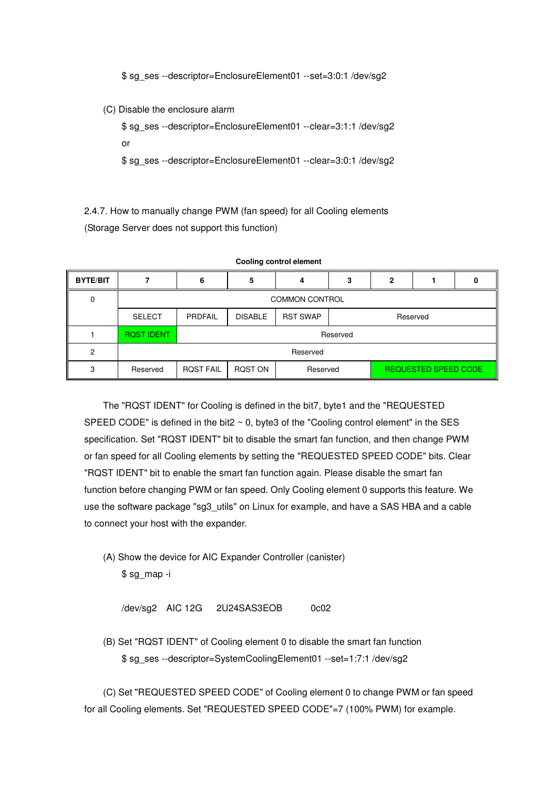\$ sg\_ses --descriptor=EnclosureElement01 --set=3:0:1 /dev/sg2

(C) Disable the enclosure alarm

 \$ sg\_ses --descriptor=EnclosureElement01 --clear=3:1:1 /dev/sg2 or

\$ sg\_ses --descriptor=EnclosureElement01 --clear=3:0:1 /dev/sg2

2.4.7. How to manually change PWM (fan speed) for all Cooling elements (Storage Server does not support this function)

| <b>BYTE/BIT</b> |                       |                  | 5              | Δ               | з                           | 2        |  |  |  |
|-----------------|-----------------------|------------------|----------------|-----------------|-----------------------------|----------|--|--|--|
| 0               | <b>COMMON CONTROL</b> |                  |                |                 |                             |          |  |  |  |
|                 | <b>SELECT</b>         | <b>PRDFAIL</b>   | <b>DISABLE</b> | <b>RST SWAP</b> |                             | Reserved |  |  |  |
|                 | <b>RQST IDENT</b>     |                  | Reserved       |                 |                             |          |  |  |  |
| 2               |                       |                  | Reserved       |                 |                             |          |  |  |  |
| 3               | Reserved              | <b>ROST FAIL</b> | RQST ON        | Reserved        | <b>REQUESTED SPEED CODE</b> |          |  |  |  |

**Cooling control element** 

 The "RQST IDENT" for Cooling is defined in the bit7, byte1 and the "REQUESTED SPEED CODE" is defined in the bit2  $\sim$  0, byte3 of the "Cooling control element" in the SES specification. Set "RQST IDENT" bit to disable the smart fan function, and then change PWM or fan speed for all Cooling elements by setting the "REQUESTED SPEED CODE" bits. Clear "RQST IDENT" bit to enable the smart fan function again. Please disable the smart fan function before changing PWM or fan speed. Only Cooling element 0 supports this feature. We use the software package "sg3\_utils" on Linux for example, and have a SAS HBA and a cable to connect your host with the expander.

 (A) Show the device for AIC Expander Controller (canister) \$ sg\_map -i

/dev/sg2 AIC 12G 2U24SAS3EOB 0c02

 (B) Set "RQST IDENT" of Cooling element 0 to disable the smart fan function \$ sg\_ses --descriptor=SystemCoolingElement01 --set=1:7:1 /dev/sg2

 (C) Set "REQUESTED SPEED CODE" of Cooling element 0 to change PWM or fan speed for all Cooling elements. Set "REQUESTED SPEED CODE"=7 (100% PWM) for example.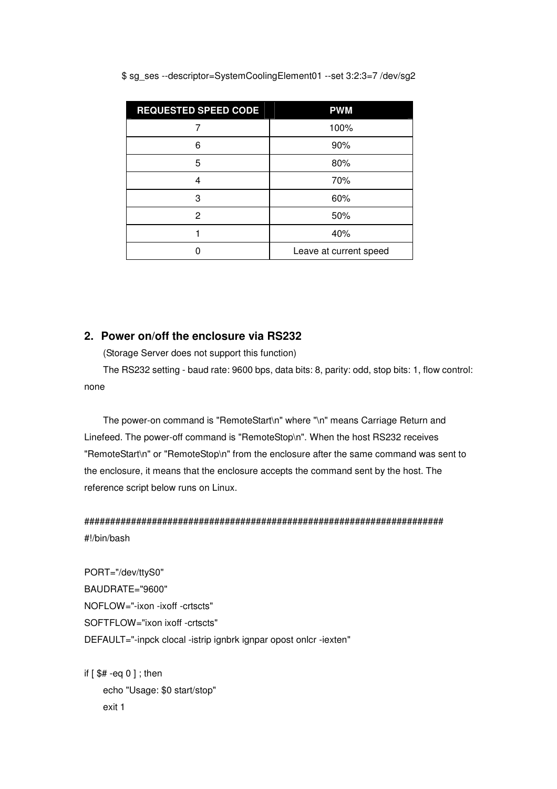| <b>REQUESTED SPEED CODE</b> | <b>PWM</b>             |
|-----------------------------|------------------------|
|                             | 100%                   |
| 6                           | 90%                    |
| 5                           | 80%                    |
| 4                           | 70%                    |
| 3                           | 60%                    |
| 2                           | 50%                    |
|                             | 40%                    |
|                             | Leave at current speed |

\$ sg\_ses --descriptor=SystemCoolingElement01 --set 3:2:3=7 /dev/sg2

## **2. Power on/off the enclosure via RS232**

(Storage Server does not support this function)

 The RS232 setting - baud rate: 9600 bps, data bits: 8, parity: odd, stop bits: 1, flow control: none

 The power-on command is "RemoteStart\n" where "\n" means Carriage Return and Linefeed. The power-off command is "RemoteStop\n". When the host RS232 receives "RemoteStart\n" or "RemoteStop\n" from the enclosure after the same command was sent to the enclosure, it means that the enclosure accepts the command sent by the host. The reference script below runs on Linux.

# ##################################################################### #!/bin/bash

PORT="/dev/ttyS0" BAUDRATE="9600" NOFLOW="-ixon -ixoff -crtscts" SOFTFLOW="ixon ixoff -crtscts" DEFAULT="-inpck clocal -istrip ignbrk ignpar opost onlcr -iexten"

if  $\lceil$  \$# -eq 0 ] ; then echo "Usage: \$0 start/stop" exit 1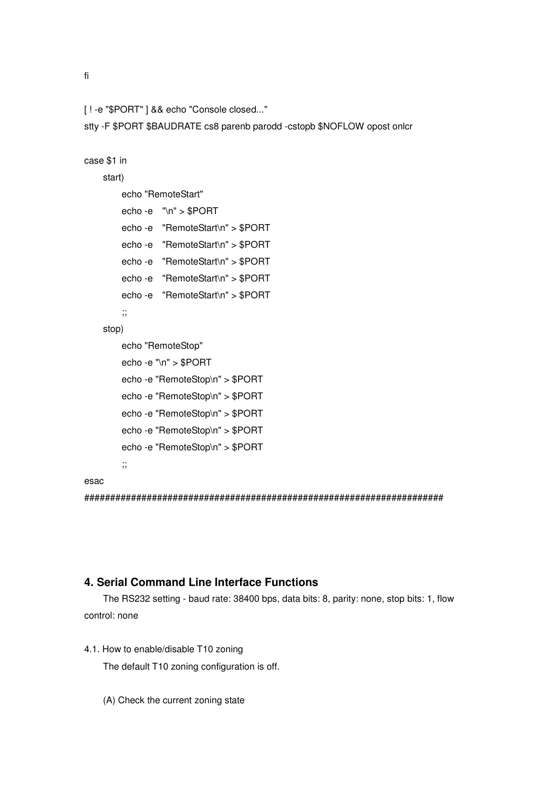fi

```
[ ! -e "$PORT" ] && echo "Console closed..."
```
stty -F \$PORT \$BAUDRATE cs8 parenb parodd -cstopb \$NOFLOW opost onlcr

```
case $1 in
```
# start)

```
 echo "RemoteStart" 
echo -e "\n" > $PORT 
echo -e "RemoteStart\n" > $PORT 
echo -e "RemoteStart\n" > $PORT 
echo -e "RemoteStart\n" > $PORT 
echo -e "RemoteStart\n" > $PORT 
echo -e "RemoteStart\n" > $PORT 
;;
```
stop)

```
 echo "RemoteStop" 
echo -e "\n" > $PORT 
echo -e "RemoteStop\n" > $PORT 
echo -e "RemoteStop\n" > $PORT 
echo -e "RemoteStop\n" > $PORT 
echo -e "RemoteStop\n" > $PORT 
echo -e "RemoteStop\n" > $PORT 
;;
```

```
esac
```
#####################################################################

### **4. Serial Command Line Interface Functions**

 The RS232 setting - baud rate: 38400 bps, data bits: 8, parity: none, stop bits: 1, flow control: none

4.1. How to enable/disable T10 zoning

The default T10 zoning configuration is off.

(A) Check the current zoning state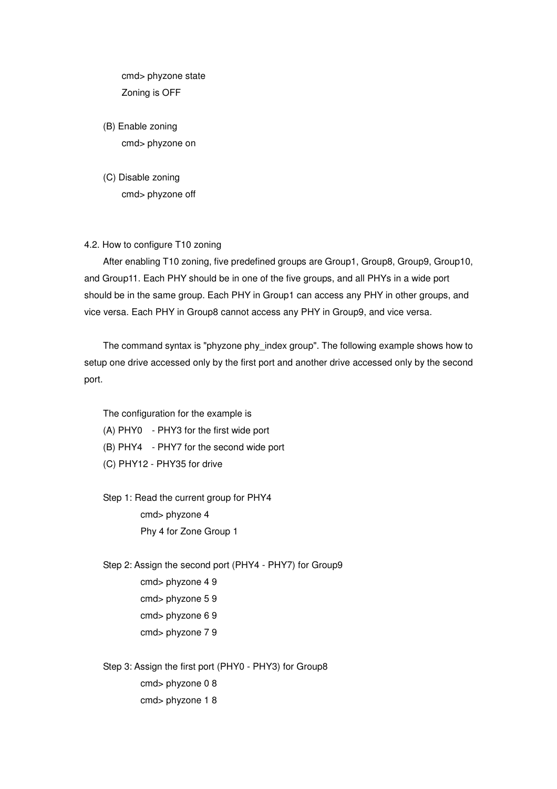cmd> phyzone state Zoning is OFF

- (B) Enable zoning cmd> phyzone on
- (C) Disable zoning cmd> phyzone off
- 4.2. How to configure T10 zoning

 After enabling T10 zoning, five predefined groups are Group1, Group8, Group9, Group10, and Group11. Each PHY should be in one of the five groups, and all PHYs in a wide port should be in the same group. Each PHY in Group1 can access any PHY in other groups, and vice versa. Each PHY in Group8 cannot access any PHY in Group9, and vice versa.

The command syntax is "phyzone phy index group". The following example shows how to setup one drive accessed only by the first port and another drive accessed only by the second port.

The configuration for the example is

- (A) PHY0 PHY3 for the first wide port
- (B) PHY4 PHY7 for the second wide port
- (C) PHY12 PHY35 for drive

 Step 1: Read the current group for PHY4 cmd> phyzone 4 Phy 4 for Zone Group 1

 Step 2: Assign the second port (PHY4 - PHY7) for Group9 cmd> phyzone 4 9 cmd> phyzone 5 9 cmd> phyzone 6 9 cmd> phyzone 7 9

 Step 3: Assign the first port (PHY0 - PHY3) for Group8 cmd> phyzone 0 8 cmd> phyzone 1 8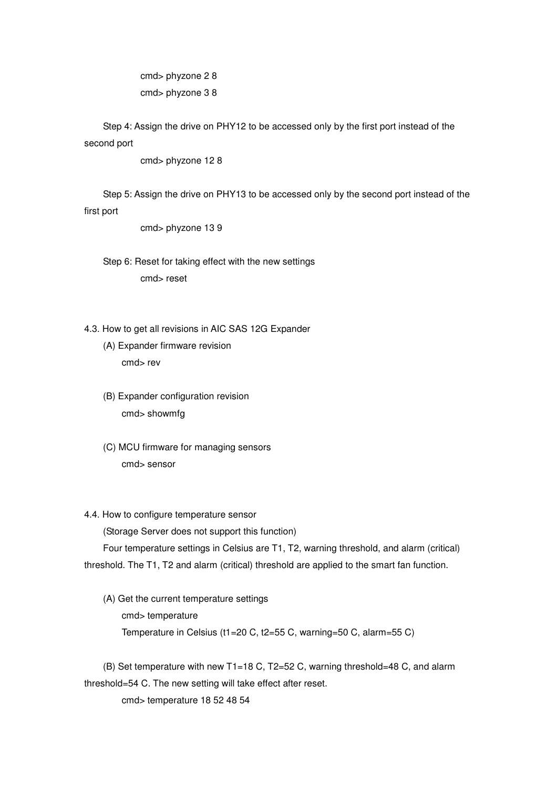cmd> phyzone 2 8 cmd> phyzone 3 8

 Step 4: Assign the drive on PHY12 to be accessed only by the first port instead of the second port

cmd> phyzone 12 8

 Step 5: Assign the drive on PHY13 to be accessed only by the second port instead of the first port

cmd> phyzone 13 9

- Step 6: Reset for taking effect with the new settings cmd> reset
- 4.3. How to get all revisions in AIC SAS 12G Expander
	- (A) Expander firmware revision cmd> rev
	- (B) Expander configuration revision cmd> showmfg
	- (C) MCU firmware for managing sensors cmd> sensor

#### 4.4. How to configure temperature sensor

(Storage Server does not support this function)

 Four temperature settings in Celsius are T1, T2, warning threshold, and alarm (critical) threshold. The T1, T2 and alarm (critical) threshold are applied to the smart fan function.

 (A) Get the current temperature settings cmd> temperature Temperature in Celsius (t1=20 C, t2=55 C, warning=50 C, alarm=55 C)

 (B) Set temperature with new T1=18 C, T2=52 C, warning threshold=48 C, and alarm threshold=54 C. The new setting will take effect after reset.

cmd> temperature 18 52 48 54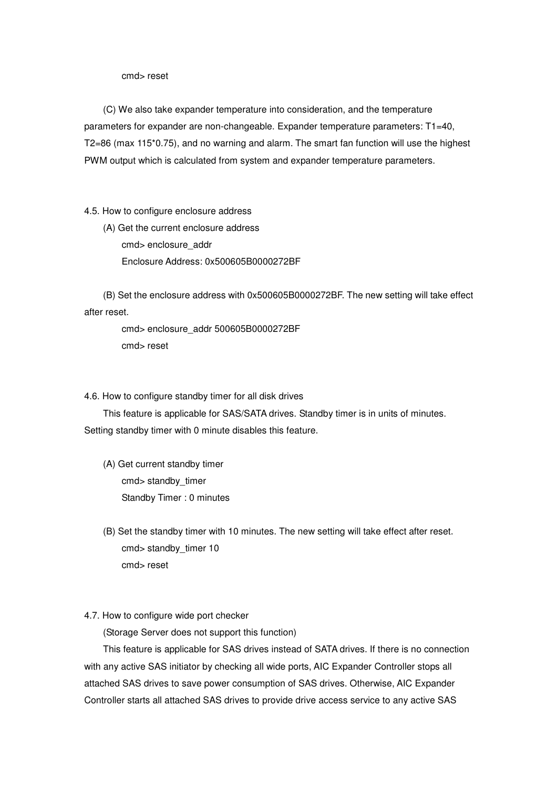cmd> reset

 (C) We also take expander temperature into consideration, and the temperature parameters for expander are non-changeable. Expander temperature parameters: T1=40, T2=86 (max 115\*0.75), and no warning and alarm. The smart fan function will use the highest PWM output which is calculated from system and expander temperature parameters.

4.5. How to configure enclosure address

 (A) Get the current enclosure address cmd> enclosure\_addr Enclosure Address: 0x500605B0000272BF

 (B) Set the enclosure address with 0x500605B0000272BF. The new setting will take effect after reset.

 cmd> enclosure\_addr 500605B0000272BF cmd> reset

4.6. How to configure standby timer for all disk drives

 This feature is applicable for SAS/SATA drives. Standby timer is in units of minutes. Setting standby timer with 0 minute disables this feature.

- (A) Get current standby timer cmd> standby\_timer Standby Timer : 0 minutes
- (B) Set the standby timer with 10 minutes. The new setting will take effect after reset. cmd> standby\_timer 10 cmd> reset
- 4.7. How to configure wide port checker

(Storage Server does not support this function)

 This feature is applicable for SAS drives instead of SATA drives. If there is no connection with any active SAS initiator by checking all wide ports, AIC Expander Controller stops all attached SAS drives to save power consumption of SAS drives. Otherwise, AIC Expander Controller starts all attached SAS drives to provide drive access service to any active SAS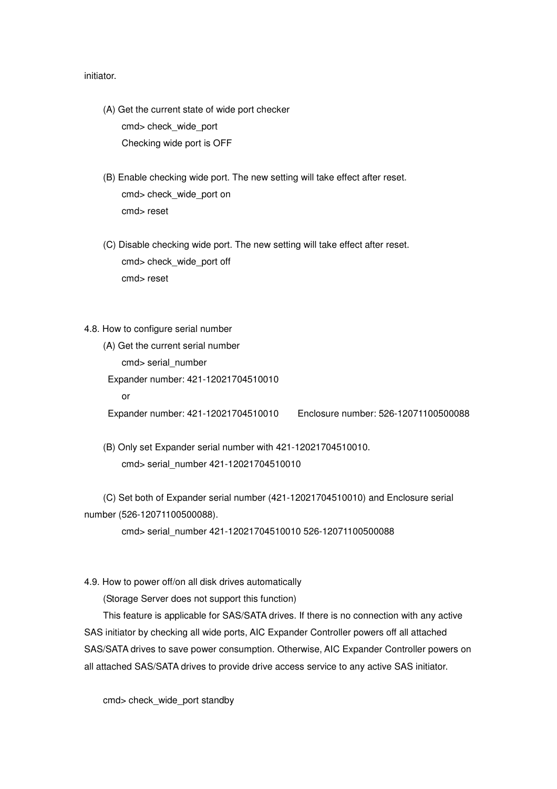initiator.

- (A) Get the current state of wide port checker cmd> check\_wide\_port Checking wide port is OFF
- (B) Enable checking wide port. The new setting will take effect after reset. cmd> check\_wide\_port on cmd> reset
- (C) Disable checking wide port. The new setting will take effect after reset. cmd> check\_wide\_port off cmd> reset
- 4.8. How to configure serial number
	- (A) Get the current serial number cmd> serial\_number Expander number: 421-12021704510010 or Expander number: 421-12021704510010 Enclosure number: 526-12071100500088
	- (B) Only set Expander serial number with 421-12021704510010. cmd> serial\_number 421-12021704510010
- (C) Set both of Expander serial number (421-12021704510010) and Enclosure serial number (526-12071100500088).

cmd> serial\_number 421-12021704510010 526-12071100500088

4.9. How to power off/on all disk drives automatically

(Storage Server does not support this function)

 This feature is applicable for SAS/SATA drives. If there is no connection with any active SAS initiator by checking all wide ports, AIC Expander Controller powers off all attached SAS/SATA drives to save power consumption. Otherwise, AIC Expander Controller powers on all attached SAS/SATA drives to provide drive access service to any active SAS initiator.

cmd> check\_wide\_port standby